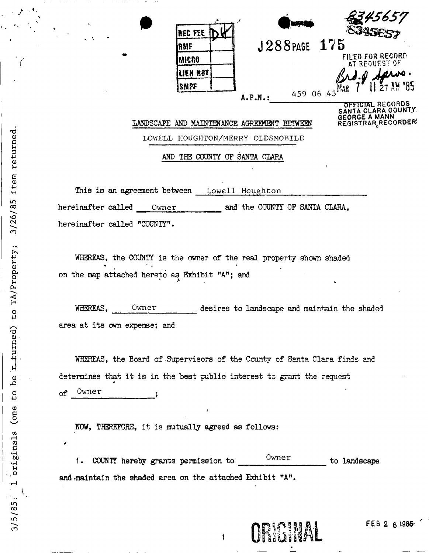| 玉<br>$\mathcal{L}^{\text{max}}$ | <b>REC FEE</b>                      | والبابيه       | 345657<br><b>EBAFIEST</b>                                             |
|---------------------------------|-------------------------------------|----------------|-----------------------------------------------------------------------|
|                                 | RMF                                 | J288PAGE       | 175                                                                   |
|                                 | <b>MICRO</b>                        |                | FILED FOR RECORD<br>AT REQUEST OF                                     |
|                                 | LIEN NOT                            |                | $\boldsymbol{\mathcal{U}}$ ro .                                       |
|                                 | SNPF                                | 459 06 43      | $27$ AM $35$                                                          |
|                                 |                                     | $A.P.N.$ :     | <b>OFFICIAL RECORDS</b><br>SANTA CLARA COUNTY<br><b>GEORGE A MANN</b> |
|                                 | LANDSCAPE AND MAINTENANCE AGREEMENT | <b>BETWEEN</b> | REGISTRAR RECORDER                                                    |
|                                 | LOWELL HOUGHTON/MERRY OLDSMOBILE    |                |                                                                       |

AND THE COUNTY OP SANTA CLARA

This is an agreement between Lowell Houghton hereinafter called Owner and the COUNTY OF SANTA CLARA, hereinafter called "COUNTY".

WHEREAS, the COUNTY is the owner of the real property shown shaded on the map attached hereto as Exhibit "A"; and

WHEREAS, Owner desires to landscape and maintain the shaded area at its own expense; and

WHEREAS, the Board of Supervisors of the County of Santa Clara finds and determines that it is in the best public interest to grant the request of Owner

NOW, THEREFORE, it is mutually agreed as follows:

1. COUNTY hereby grants permission to Owner to landscape and maintain the shaded area on the attached Exhibit "A".

**ORIGINAL** 

**FEB 2 6 1986** 

*}* •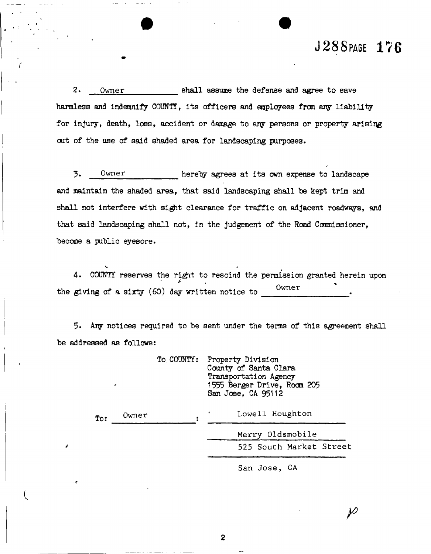### J288PAGE 176

*/* 

2. **Owner** shall assume the defense and agree to save harmless and indemnify COUNTY, its officers and employees from any liability for injury, death, loss, accident or damage to any persons or property arising out of the use of said shaded area for landscaping purposes.

5\* **Owner** hereby agrees at its own expense to landscape and maintain the shaded area, that said landscaping shall he kept trim and shall not interfere with sight clearance for traffic on adjacent roadways, and that said landscaping shall not, in the judgement of the Road Commissioner, become a public eyesore.

4. COUNTY reserves the right to rescind the permission granted herein upon the giving of a sixty (60) day written notice to 0wner

*V 4* 

*4* 

**I** 

*• t* 

5- Ary notices required to be sent under the terms of this agreement shall be addressed as follows:

> To. COUNTY: Property Division County of Santa Clara Transportation Agency 1555 Berger Drive, Room 205 San Jose, CA 95112

**i Lowell Houghton Owner**   $\mathbf{To:}$ **Merry Oldsmobile**  525 South Market Street

San Jose, CA

 $\varphi$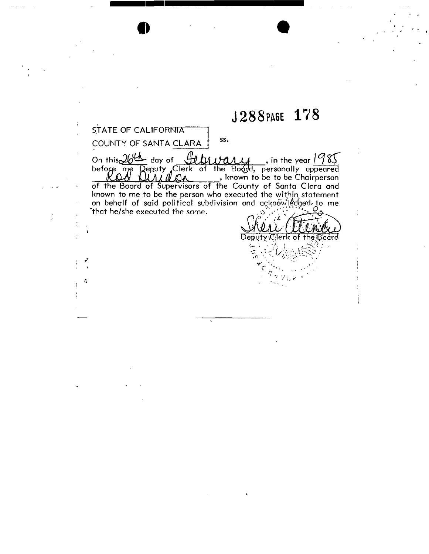## J288PAGE 178

 $\hat{\mathbf{A}}$ 

 $\frac{1}{2}$ 

 $\frac{1}{4}$ 

| STATE OF CALIFORNIA                                            |
|----------------------------------------------------------------|
| SS.<br>COUNTY OF SANTA CLARA                                   |
| On this $2643$ day of<br>$\ell$ bwary, in the year $1985$      |
| before me Deputy Clerk of the Bodyd, personally appeared       |
| , known to be to be Chairperson                                |
| of the Board of Supervisors of the County of Santa Clara and   |
| known to me to be the person who executed the within statement |
| on behalf of said political subdivision and acknowledged to me |
| "that he/she executed the same.                                |
|                                                                |
|                                                                |
| Deputy Clerk of the Board                                      |
|                                                                |
|                                                                |
|                                                                |
|                                                                |
|                                                                |

Ŧ

 $\frac{1}{4}$ 

 $\frac{1}{2}$  $\ddot{\cdot}$ 

 $\frac{1}{2}$ 

 $\vert \mathbf{5} \vert$  $\frac{1}{2}$ 

**• •**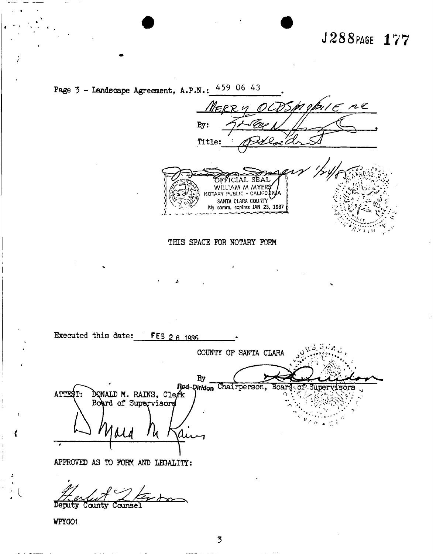## J288PAGE 177

Page  $3$  - Landscape Agreement, A.P.N.:  $459$  06 43 mobile ne  $=$ RPM By: Title: OFFICIAL SEAL WILLIAM M MYERS SANTA CLARA COUNTY THIS SPACE FOR NOTARY FORM Executed this date: FEB 2 6 1985 COUNTY OF SANTA CLARA  $\rm\,By$ Rod-Qirldon Chairperson, Board оf sörs DONALD M. RAINS, Clefk **ATTES** Board of Supervisors a APPROVED AS TO FORM AND LEGALITY: Deputy County Counsel

WPYGO1

 $\overline{5}$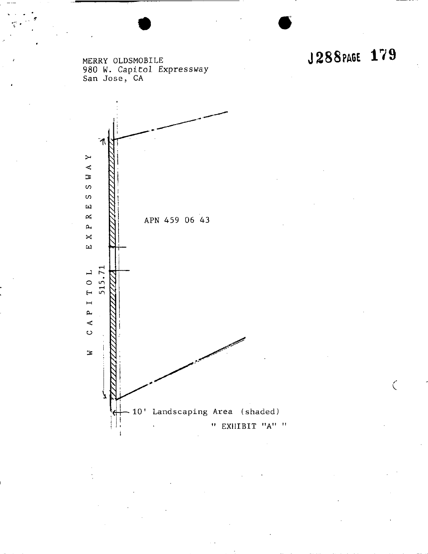$\zeta$ 

**MERRY OLDSMOBILE J 2 8 8 PAGE 1/ 9 980 W. Capitol Expressway San Jose, CA** 

 $7$  '  $^{\circ}$ 

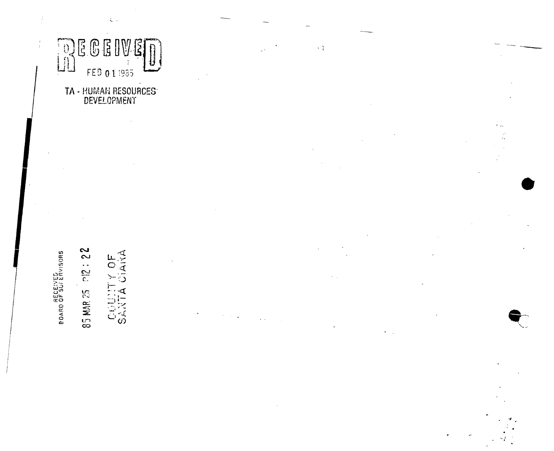

 $\left\langle \xi \right\rangle$  .

# TA - HUMAN RESOURCES<sup>-</sup><br>DEVELOPMENT

 $23:215$ Y OF<br>CIANA **BOARD OF SUFERVISORS** CUULITY 85 MAR 25

 $\mathcal{L}^{\mathcal{L}}_{\mathcal{A}}$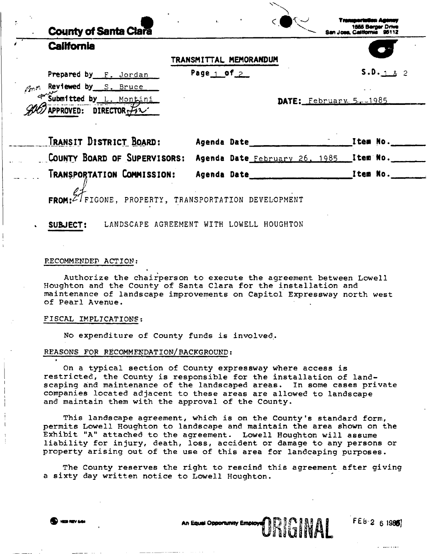| TRANSMITTAL MEMORANDUM<br>Page $1$ of $2$                                |                                   |
|--------------------------------------------------------------------------|-----------------------------------|
|                                                                          | S.D. 182                          |
|                                                                          |                                   |
|                                                                          |                                   |
|                                                                          |                                   |
|                                                                          |                                   |
| Agenda Date _______                                                      | <b>Example 2 Channel Ttem No.</b> |
| COUNTY BOARD OF SUPERVISORS: Agenda Date February 26, 1985 [tem No. 100] |                                   |
| Agenda Date                                                              | $\blacksquare$ . Them No.         |
| FROM: Z' FIGONE, PROPERTY, TRANSPORTATION DEVELOPMENT                    |                                   |
|                                                                          | DATE: $February. 5. -1985$        |

#### **RECOMMENDED ACTION:**

**Authorize the chairperson to execute the agreement between Lowell Houghton and the County of Santa Clara for the installation and maintenance of landscape improvements on Capitol Expressway north west of Pearl Avenue.** 

#### **FISCAL IMPLICATIONS;**

**No expenditure of County funds is involved.** 

#### **REASONS FOP RECOMMENDATION/BACKGROUND:**

**On a typical section of County expressway where access is restricted, the County is responsible for the installation of landscaping and maintenance of the landscaped areas. In some cases private companies located adjacent to these areas are allowed to landscape and maintain them with the approval of the County.** 

**This landscape agreement, which is on the County's standard form, permits Lowell Houghton to landscape and maintain the area shown on the Exhibit "A" attached to the agreement. Lowell Houghton will assume liability for injury, death, loss, accident or damage to any persons or property arising out of the use of this area for landcaping purposes.** 

**T he County reserves the right to rescind this agreement after giving a sixty day written notice to Lowell Houghton.** 

*\** 

**An** 3 0 !

**L** 2 6 1980]